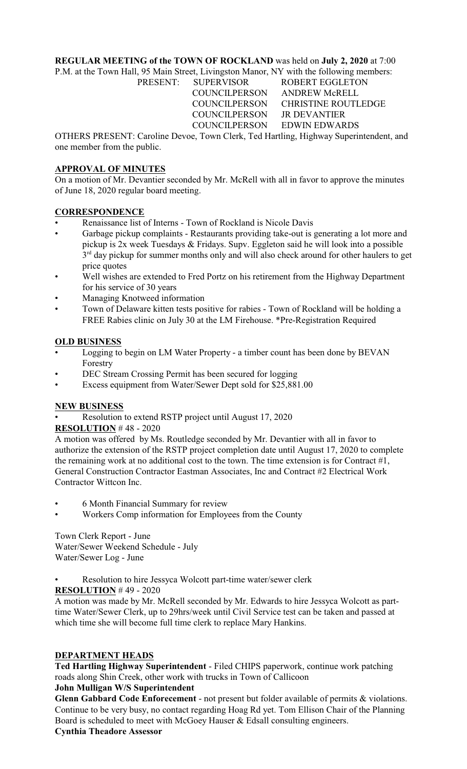## **REGULAR MEETING of the TOWN OF ROCKLAND** was held on **July 2, 2020** at 7:00

P.M. at the Town Hall, 95 Main Street, Livingston Manor, NY with the following members: PRESENT: SUPERVISOR ROBERT EGGLETON

COUNCILPERSON ANDREW McRELL

 COUNCILPERSON CHRISTINE ROUTLEDGE COUNCILPERSON JR DEVANTIER COUNCILPERSON EDWIN EDWARDS

OTHERS PRESENT: Caroline Devoe, Town Clerk, Ted Hartling, Highway Superintendent, and one member from the public.

# **APPROVAL OF MINUTES**

On a motion of Mr. Devantier seconded by Mr. McRell with all in favor to approve the minutes of June 18, 2020 regular board meeting.

## **CORRESPONDENCE**

- Renaissance list of Interns Town of Rockland is Nicole Davis
- Garbage pickup complaints Restaurants providing take-out is generating a lot more and pickup is 2x week Tuesdays & Fridays. Supv. Eggleton said he will look into a possible 3<sup>rd</sup> day pickup for summer months only and will also check around for other haulers to get price quotes
- Well wishes are extended to Fred Portz on his retirement from the Highway Department for his service of 30 years
- Managing Knotweed information
- Town of Delaware kitten tests positive for rabies Town of Rockland will be holding a FREE Rabies clinic on July 30 at the LM Firehouse. \*Pre-Registration Required

## **OLD BUSINESS**

- Logging to begin on LM Water Property a timber count has been done by BEVAN Forestry
- DEC Stream Crossing Permit has been secured for logging
- Excess equipment from Water/Sewer Dept sold for \$25,881.00

# **NEW BUSINESS**

• Resolution to extend RSTP project until August 17, 2020

# **RESOLUTION** # 48 - 2020

A motion was offered by Ms. Routledge seconded by Mr. Devantier with all in favor to authorize the extension of the RSTP project completion date until August 17, 2020 to complete the remaining work at no additional cost to the town. The time extension is for Contract #1, General Construction Contractor Eastman Associates, Inc and Contract #2 Electrical Work Contractor Wittcon Inc.

- 6 Month Financial Summary for review
- Workers Comp information for Employees from the County

Town Clerk Report - June Water/Sewer Weekend Schedule - July Water/Sewer Log - June

• Resolution to hire Jessyca Wolcott part-time water/sewer clerk

**RESOLUTION** # 49 - 2020

A motion was made by Mr. McRell seconded by Mr. Edwards to hire Jessyca Wolcott as parttime Water/Sewer Clerk, up to 29hrs/week until Civil Service test can be taken and passed at which time she will become full time clerk to replace Mary Hankins.

#### **DEPARTMENT HEADS**

**Ted Hartling Highway Superintendent** - Filed CHIPS paperwork, continue work patching roads along Shin Creek, other work with trucks in Town of Callicoon

## **John Mulligan W/S Superintendent**

**Glenn Gabbard Code Enforecement** - not present but folder available of permits & violations. Continue to be very busy, no contact regarding Hoag Rd yet. Tom Ellison Chair of the Planning Board is scheduled to meet with McGoey Hauser & Edsall consulting engineers.

## **Cynthia Theadore Assessor**